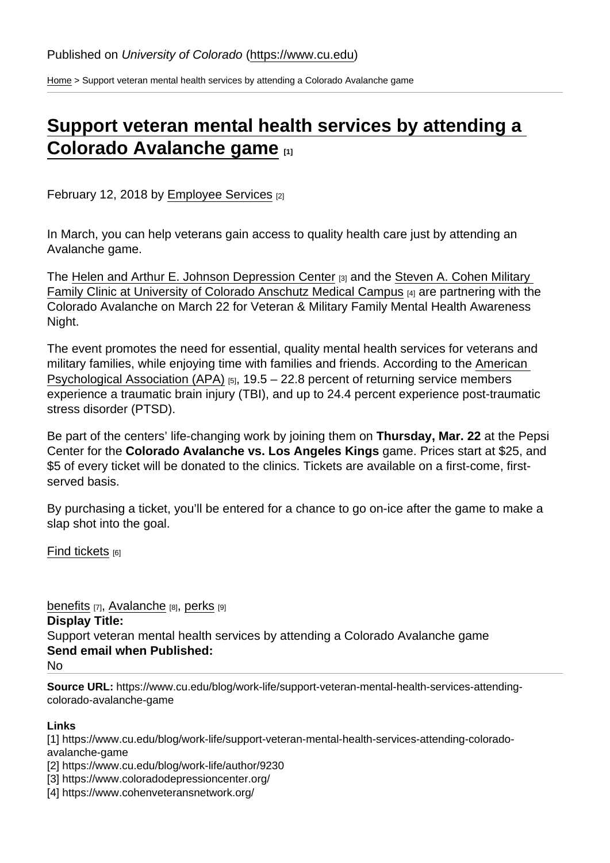[Home](https://www.cu.edu/) > Support veteran mental health services by attending a Colorado Avalanche game

## [Support veteran mental health services by attending a](https://www.cu.edu/blog/work-life/support-veteran-mental-health-services-attending-colorado-avalanche-game)  [Colorado Avalanche game](https://www.cu.edu/blog/work-life/support-veteran-mental-health-services-attending-colorado-avalanche-game)

February 12, 2018 by [Employee Services](https://www.cu.edu/blog/work-life/author/9230) [2]

In March, you can help veterans gain access to quality health care just by attending an Avalanche game.

The [Helen and Arthur E. Johnson Depression Center](https://www.coloradodepressioncenter.org/) [3] and the Steven A. Cohen Military [Family Clinic at University of Colorado Anschutz Medical Campus](https://www.cohenveteransnetwork.org/) [4] are partnering with the Colorado Avalanche on March 22 for Veteran & Military Family Mental Health Awareness Night.

The event promotes the need for essential, quality mental health services for veterans and military families, while enjoying time with families and friends. According to the [American](https://www.apa.org/advocacy/military-veterans/mental-health-needs.pdf)  [Psychological Association \(APA\)](https://www.apa.org/advocacy/military-veterans/mental-health-needs.pdf)  $_{[5]}$ , 19.5 – 22.8 percent of returning service members experience a traumatic brain injury (TBI), and up to 24.4 percent experience post-traumatic stress disorder (PTSD).

Be part of the centers' life-changing work by joining them on Thursday, Mar. 22 at the Pepsi Center for the Colorado Avalanche vs. Los Angeles Kings game. Prices start at \$25, and \$5 of every ticket will be donated to the clinics. Tickets are available on a first-come, firstserved basis.

By purchasing a ticket, you'll be entered for a chance to go on-ice after the game to make a slap shot into the goal.

[Find tickets](https://www.cu.edu/doc/avalanche-mh-awareness-002pdf-1)  $[6]$ 

[benefits](https://www.cu.edu/blog/work-life/tag/benefits) [7], [Avalanche](https://www.cu.edu/blog/work-life/tag/avalanche) [8], [perks](https://www.cu.edu/blog/work-life/tag/perks) [9] Display Title: Support veteran mental health services by attending a Colorado Avalanche game Send email when Published: No

Source URL: https://www.cu.edu/blog/work-life/support-veteran-mental-health-services-attendingcolorado-avalanche-game

Links

[1] https://www.cu.edu/blog/work-life/support-veteran-mental-health-services-attending-coloradoavalanche-game

[2] https://www.cu.edu/blog/work-life/author/9230

[3] https://www.coloradodepressioncenter.org/

[4] https://www.cohenveteransnetwork.org/